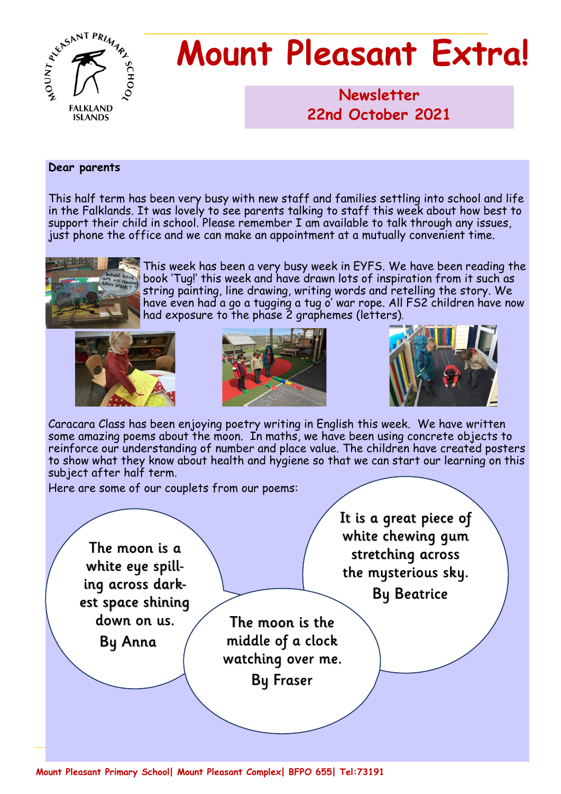

# **Mount Pleasant Extra!**

**Newsletter 1986 22nd October 2021**

#### **Dear parents**

This half term has been very busy with new staff and families settling into school and life in the Falklands. It was lovely to see parents talking to staff this week about how best to support their child in school. Please remember I am available to talk through any issues, just phone the office and we can make an appointment at a mutually convenient time.



This week has been a very busy week in EYFS. We have been reading the book 'Tug!' this week and have drawn lots of inspiration from it such as string painting, line drawing, writing words and retelling the story. We have even had a go a tugging a tug o' war rope. All FS2 children have now had exposure to the phase 2 graphemes (letters).







Caracara Class has been enjoying poetry writing in English this week. We have written some amazing poems about the moon. In maths, we have been using concrete objects to reinforce our understanding of number and place value. The children have created posters to show what they know about health and hygiene so that we can start our learning on this subject after half term.

Here are some of our couplets from our poems:

The moon is a white eye spilling across darkest space shining down on us. **By Anna** 

It is a great piece of white chewing qum stretching across the mysterious sky.

**By Beatrice** 

The moon is the middle of a clock watching over me.

**By Fraser** 

**Mount Pleasant Primary School| Mount Pleasant Complex| BFPO 655| Tel:73191**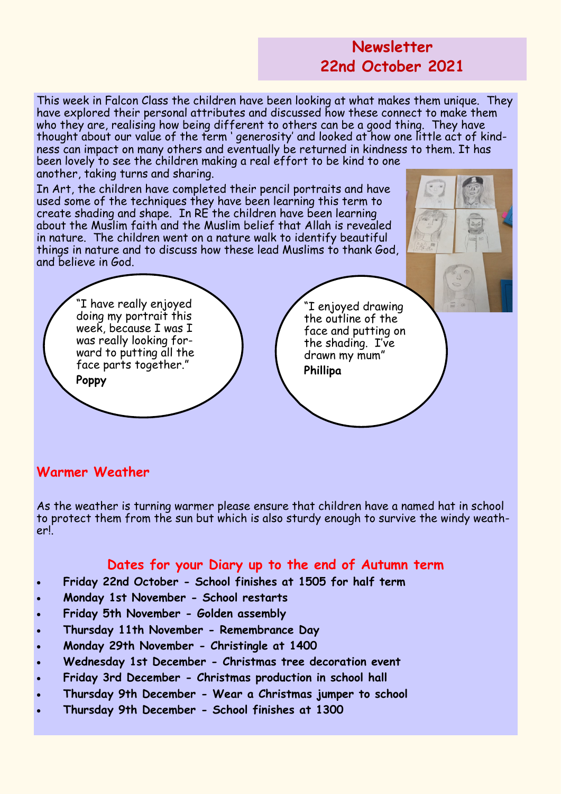### **Newsletter 22nd October 2021**

This week in Falcon Class the children have been looking at what makes them unique. They have explored their personal attributes and discussed how these connect to make them who they are, realising how being different to others can be a good thing. They have thought about our value of the term ' generosity' and looked at how one little act of kindness can impact on many others and eventually be returned in kindness to them. It has been lovely to see the children making a real effort to be kind to one another, taking turns and sharing.

In Art, the children have completed their pencil portraits and have used some of the techniques they have been learning this term to create shading and shape. In RE the children have been learning about the Muslim faith and the Muslim belief that Allah is revealed in nature. The children went on a nature walk to identify beautiful things in nature and to discuss how these lead Muslims to thank God, and believe in God.

> "I have really enjoyed doing my portrait this week, because I was I was really looking forward to putting all the face parts together."

**Poppy**

"I enjoyed drawing the outline of the face and putting on the shading. I've drawn my mum" **Phillipa**

#### **Warmer Weather**

As the weather is turning warmer please ensure that children have a named hat in school to protect them from the sun but which is also sturdy enough to survive the windy weather!.

#### **Dates for your Diary up to the end of Autumn term**

- **Friday 22nd October - School finishes at 1505 for half term**
- **Monday 1st November - School restarts**
- **Friday 5th November - Golden assembly**
- **Thursday 11th November - Remembrance Day**
- **Monday 29th November - Christingle at 1400**
- **Wednesday 1st December - Christmas tree decoration event**
- **Friday 3rd December - Christmas production in school hall**
- **Thursday 9th December - Wear a Christmas jumper to school**
- **Thursday 9th December - School finishes at 1300**